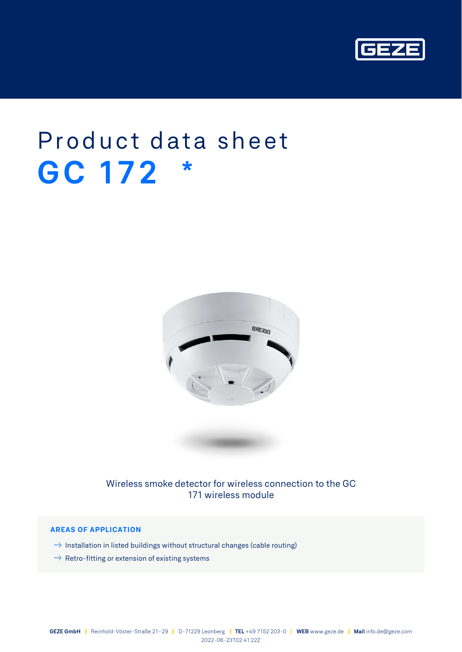

# Product data sheet **GC 172 \***



Wireless smoke detector for wireless connection to the GC 171 wireless module

## **AREAS OF APPLICATION**

- $\rightarrow$  Installation in listed buildings without structural changes (cable routing)
- $\rightarrow$  Retro-fitting or extension of existing systems